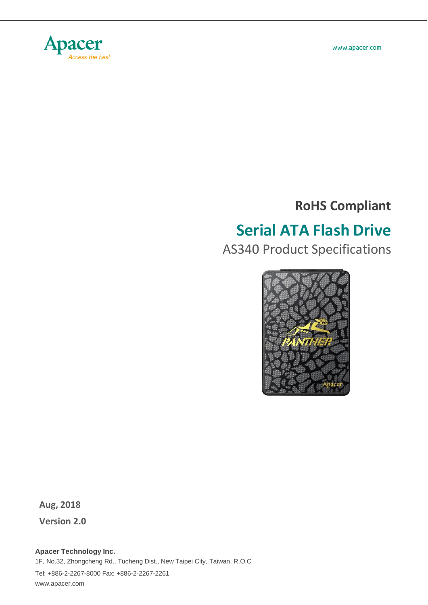

www.apacer.com

### **RoHS Compliant**

# **Serial ATA Flash Drive**

AS340 Product Specifications



**Aug, 2018**

**Version 2.0**

**Apacer Technology Inc.** 1F, No.32, Zhongcheng Rd., Tucheng Dist., New Taipei City, Taiwan, R.O.C Tel: +886-2-2267-8000 Fax: +886-2-2267-2261 [www.apacer.com](http://www.apacer.com/)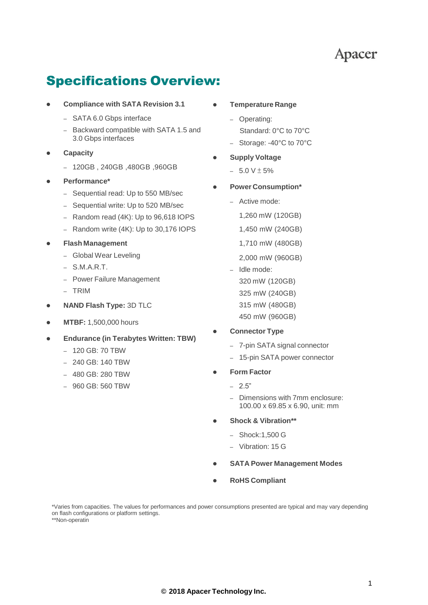### Specifications Overview:

- **Compliance with SATA Revision 3.1**
	- SATA 6.0 Gbps interface
	- Backward compatible with SATA 1.5 and 3.0 Gbps interfaces
- **Capacity**
	- 120GB , 240GB ,480GB ,960GB
- **Performance\***
	- Sequential read: Up to 550 MB/sec
	- Sequential write: Up to 520 MB/sec
	- Random read (4K): Up to 96,618 IOPS
	- Random write (4K): Up to 30,176 IOPS
- **Flash Management**
	- Global Wear Leveling
	- S.M.A.R.T.
	- Power Failure Management
	- TRIM
- **NAND Flash Type:** 3D TLC
- **MTBF:** 1,500,000 hours
- **Endurance (in Terabytes Written: TBW)**
	- 120 GB: 70 TBW
	- 240 GB: 140 TBW
	- 480 GB: 280 TBW
	- 960 GB: 560 TBW
- **Temperature Range**
	- Operating: Standard: 0°C to 70°C
	- Storage: -40°C to 70°C
- **Supply Voltage**
	- $-5.0 V \pm 5%$
- **Power Consumption\***
	- Active mode:
		- 1,260 mW (120GB)
		- 1,450 mW (240GB)
		- 1,710 mW (480GB)
		- 2,000 mW (960GB)
	- Idle mode: 320 mW (120GB) 325 mW (240GB) 315 mW (480GB) 450 mW (960GB)
- **Connector Type**
	- 7-pin SATA signal connector
	- 15-pin SATA power connector
- **Form Factor**
	- $-2.5"$
	- Dimensions with 7mm enclosure: 100.00 x 69.85 x 6.90, unit: mm
- **Shock & Vibration\*\***
	- Shock:1,500 G
	- Vibration: 15 G
- **SATA Power Management Modes**
- **RoHS Compliant**

\*Varies from capacities. The values for performances and power consumptions presented are typical and may vary depending on flash configurations or platform settings. \*\*Non-operatin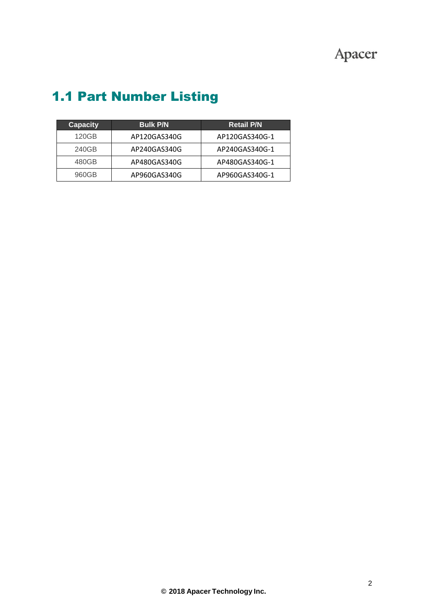| <b>Capacity</b> | <b>Bulk P/N</b> | <b>Retail P/N</b> |  |
|-----------------|-----------------|-------------------|--|
| 120GB           | AP120GAS340G    | AP120GAS340G-1    |  |
| 240GB           | AP240GAS340G    | AP240GAS340G-1    |  |
| 480GB           | AP480GAS340G    | AP480GAS340G-1    |  |
| 960GB           | AP960GAS340G    | AP960GAS340G-1    |  |

## 1.1 Part Number Listing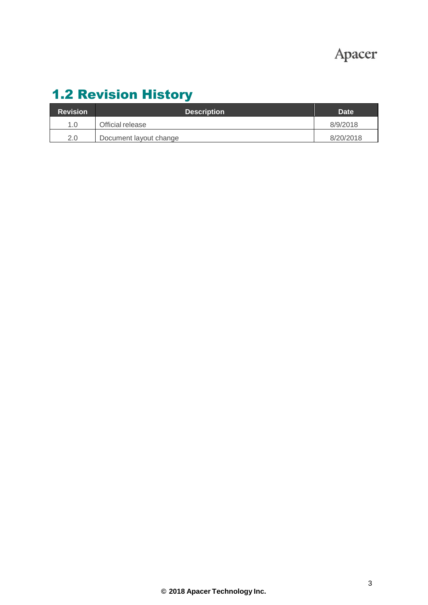## 1.2 Revision History

| <b>Revision</b> | <b>Description</b>     | Date      |
|-----------------|------------------------|-----------|
| 1.0             | Official release       | 8/9/2018  |
| 2.0             | Document layout change | 8/20/2018 |